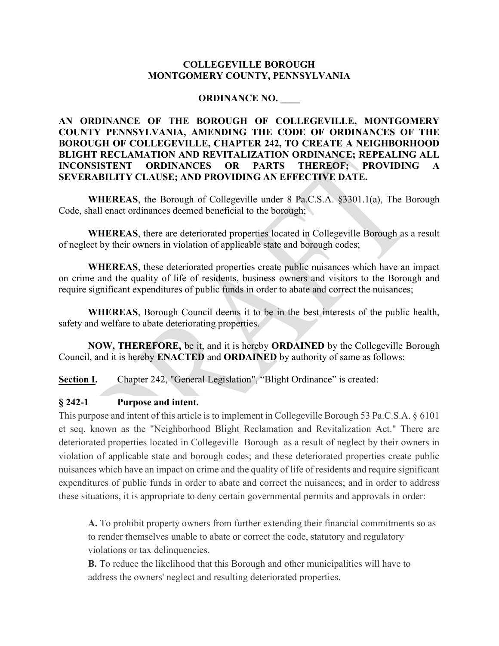#### COLLEGEVILLE BOROUGH MONTGOMERY COUNTY, PENNSYLVANIA

#### ORDINANCE NO. \_\_\_\_

AN ORDINANCE OF THE BOROUGH OF COLLEGEVILLE, MONTGOMERY COUNTY PENNSYLVANIA, AMENDING THE CODE OF ORDINANCES OF THE BOROUGH OF COLLEGEVILLE, CHAPTER 242, TO CREATE A NEIGHBORHOOD BLIGHT RECLAMATION AND REVITALIZATION ORDINANCE; REPEALING ALL INCONSISTENT ORDINANCES OR PARTS THEREOF; PROVIDING SEVERABILITY CLAUSE; AND PROVIDING AN EFFECTIVE DATE.

WHEREAS, the Borough of Collegeville under 8 Pa.C.S.A. §3301.1(a), The Borough Code, shall enact ordinances deemed beneficial to the borough;

WHEREAS, there are deteriorated properties located in Collegeville Borough as a result of neglect by their owners in violation of applicable state and borough codes;

 WHEREAS, these deteriorated properties create public nuisances which have an impact on crime and the quality of life of residents, business owners and visitors to the Borough and require significant expenditures of public funds in order to abate and correct the nuisances;

WHEREAS, Borough Council deems it to be in the best interests of the public health, safety and welfare to abate deteriorating properties.

NOW, THEREFORE, be it, and it is hereby ORDAINED by the Collegeville Borough Council, and it is hereby ENACTED and ORDAINED by authority of same as follows:

Section I. Chapter 242, "General Legislation", "Blight Ordinance" is created:

#### § 242-1 Purpose and intent.

This purpose and intent of this article is to implement in Collegeville Borough 53 Pa.C.S.A. § 6101 et seq. known as the "Neighborhood Blight Reclamation and Revitalization Act." There are deteriorated properties located in Collegeville Borough as a result of neglect by their owners in violation of applicable state and borough codes; and these deteriorated properties create public nuisances which have an impact on crime and the quality of life of residents and require significant expenditures of public funds in order to abate and correct the nuisances; and in order to address these situations, it is appropriate to deny certain governmental permits and approvals in order:

A. To prohibit property owners from further extending their financial commitments so as to render themselves unable to abate or correct the code, statutory and regulatory violations or tax delinquencies.

B. To reduce the likelihood that this Borough and other municipalities will have to address the owners' neglect and resulting deteriorated properties.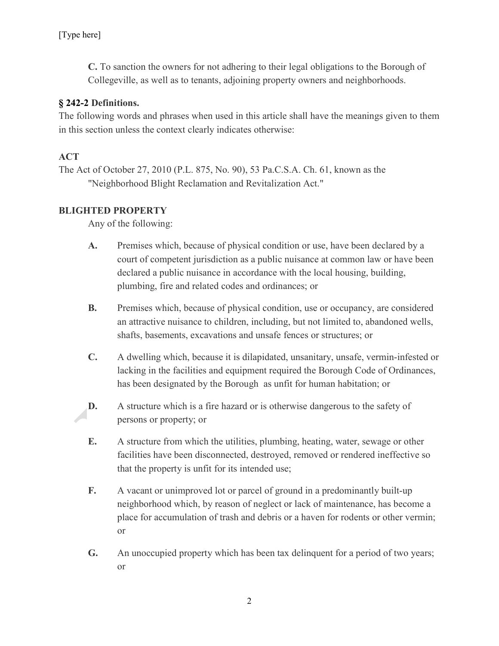C. To sanction the owners for not adhering to their legal obligations to the Borough of Collegeville, as well as to tenants, adjoining property owners and neighborhoods.

### § 242-2 Definitions.

The following words and phrases when used in this article shall have the meanings given to them in this section unless the context clearly indicates otherwise:

## ACT

The Act of October 27, 2010 (P.L. 875, No. 90), 53 Pa.C.S.A. Ch. 61, known as the "Neighborhood Blight Reclamation and Revitalization Act."

## BLIGHTED PROPERTY

Any of the following:

- A. Premises which, because of physical condition or use, have been declared by a court of competent jurisdiction as a public nuisance at common law or have been declared a public nuisance in accordance with the local housing, building, plumbing, fire and related codes and ordinances; or
- B. Premises which, because of physical condition, use or occupancy, are considered an attractive nuisance to children, including, but not limited to, abandoned wells, shafts, basements, excavations and unsafe fences or structures; or
- C. A dwelling which, because it is dilapidated, unsanitary, unsafe, vermin-infested or lacking in the facilities and equipment required the Borough Code of Ordinances, has been designated by the Borough as unfit for human habitation; or
- D. A structure which is a fire hazard or is otherwise dangerous to the safety of persons or property; or
- E. A structure from which the utilities, plumbing, heating, water, sewage or other facilities have been disconnected, destroyed, removed or rendered ineffective so that the property is unfit for its intended use;
- F. A vacant or unimproved lot or parcel of ground in a predominantly built-up neighborhood which, by reason of neglect or lack of maintenance, has become a place for accumulation of trash and debris or a haven for rodents or other vermin; or
- G. An unoccupied property which has been tax delinquent for a period of two years; or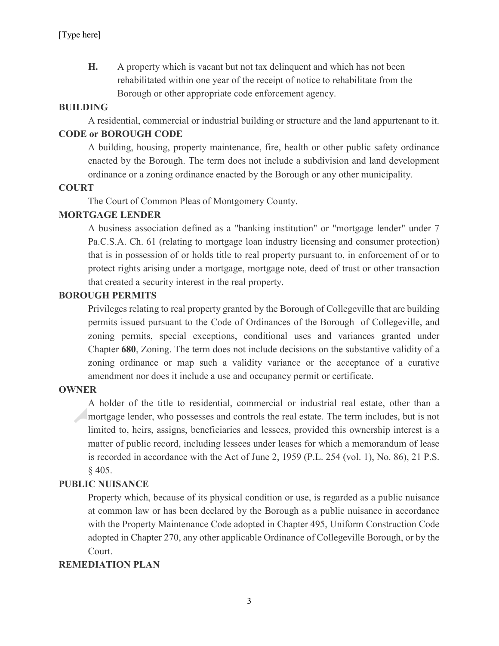H. A property which is vacant but not tax delinquent and which has not been rehabilitated within one year of the receipt of notice to rehabilitate from the Borough or other appropriate code enforcement agency.

### BUILDING

A residential, commercial or industrial building or structure and the land appurtenant to it.

#### CODE or BOROUGH CODE

A building, housing, property maintenance, fire, health or other public safety ordinance enacted by the Borough. The term does not include a subdivision and land development ordinance or a zoning ordinance enacted by the Borough or any other municipality.

### **COURT**

The Court of Common Pleas of Montgomery County.

### MORTGAGE LENDER

A business association defined as a "banking institution" or "mortgage lender" under 7 Pa.C.S.A. Ch. 61 (relating to mortgage loan industry licensing and consumer protection) that is in possession of or holds title to real property pursuant to, in enforcement of or to protect rights arising under a mortgage, mortgage note, deed of trust or other transaction that created a security interest in the real property.

### BOROUGH PERMITS

Privileges relating to real property granted by the Borough of Collegeville that are building permits issued pursuant to the Code of Ordinances of the Borough of Collegeville, and zoning permits, special exceptions, conditional uses and variances granted under Chapter 680, Zoning. The term does not include decisions on the substantive validity of a zoning ordinance or map such a validity variance or the acceptance of a curative amendment nor does it include a use and occupancy permit or certificate.

#### **OWNER**

A holder of the title to residential, commercial or industrial real estate, other than a mortgage lender, who possesses and controls the real estate. The term includes, but is not limited to, heirs, assigns, beneficiaries and lessees, provided this ownership interest is a matter of public record, including lessees under leases for which a memorandum of lease is recorded in accordance with the Act of June 2, 1959 (P.L. 254 (vol. 1), No. 86), 21 P.S. § 405.

### PUBLIC NUISANCE

Property which, because of its physical condition or use, is regarded as a public nuisance at common law or has been declared by the Borough as a public nuisance in accordance with the Property Maintenance Code adopted in Chapter 495, Uniform Construction Code adopted in Chapter 270, any other applicable Ordinance of Collegeville Borough, or by the Court.

#### REMEDIATION PLAN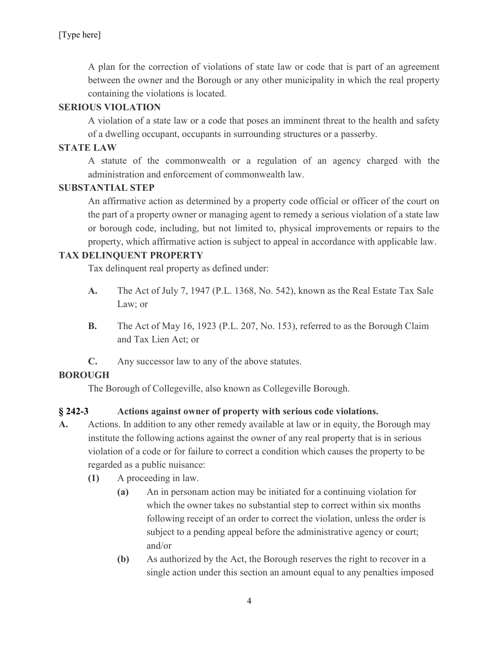A plan for the correction of violations of state law or code that is part of an agreement between the owner and the Borough or any other municipality in which the real property containing the violations is located.

### SERIOUS VIOLATION

A violation of a state law or a code that poses an imminent threat to the health and safety of a dwelling occupant, occupants in surrounding structures or a passerby.

## STATE LAW

A statute of the commonwealth or a regulation of an agency charged with the administration and enforcement of commonwealth law.

### SUBSTANTIAL STEP

An affirmative action as determined by a property code official or officer of the court on the part of a property owner or managing agent to remedy a serious violation of a state law or borough code, including, but not limited to, physical improvements or repairs to the property, which affirmative action is subject to appeal in accordance with applicable law.

### TAX DELINQUENT PROPERTY

Tax delinquent real property as defined under:

- A. The Act of July 7, 1947 (P.L. 1368, No. 542), known as the Real Estate Tax Sale Law; or
- B. The Act of May 16, 1923 (P.L. 207, No. 153), referred to as the Borough Claim and Tax Lien Act; or
- C. Any successor law to any of the above statutes.

## BOROUGH

The Borough of Collegeville, also known as Collegeville Borough.

## § 242-3 Actions against owner of property with serious code violations.

- A. Actions. In addition to any other remedy available at law or in equity, the Borough may institute the following actions against the owner of any real property that is in serious violation of a code or for failure to correct a condition which causes the property to be regarded as a public nuisance:
	- (1) A proceeding in law.
		- (a) An in personam action may be initiated for a continuing violation for which the owner takes no substantial step to correct within six months following receipt of an order to correct the violation, unless the order is subject to a pending appeal before the administrative agency or court; and/or
		- (b) As authorized by the Act, the Borough reserves the right to recover in a single action under this section an amount equal to any penalties imposed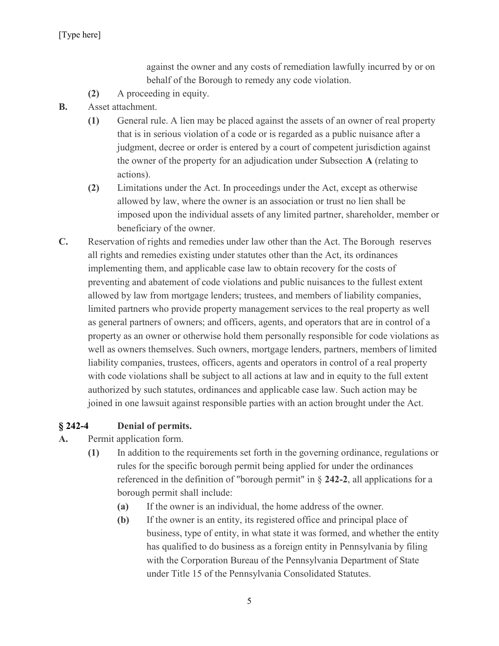against the owner and any costs of remediation lawfully incurred by or on behalf of the Borough to remedy any code violation.

- (2) A proceeding in equity.
- B. Asset attachment.
	- (1) General rule. A lien may be placed against the assets of an owner of real property that is in serious violation of a code or is regarded as a public nuisance after a judgment, decree or order is entered by a court of competent jurisdiction against the owner of the property for an adjudication under Subsection A (relating to actions).
	- (2) Limitations under the Act. In proceedings under the Act, except as otherwise allowed by law, where the owner is an association or trust no lien shall be imposed upon the individual assets of any limited partner, shareholder, member or beneficiary of the owner.
- C. Reservation of rights and remedies under law other than the Act. The Borough reserves all rights and remedies existing under statutes other than the Act, its ordinances implementing them, and applicable case law to obtain recovery for the costs of preventing and abatement of code violations and public nuisances to the fullest extent allowed by law from mortgage lenders; trustees, and members of liability companies, limited partners who provide property management services to the real property as well as general partners of owners; and officers, agents, and operators that are in control of a property as an owner or otherwise hold them personally responsible for code violations as well as owners themselves. Such owners, mortgage lenders, partners, members of limited liability companies, trustees, officers, agents and operators in control of a real property with code violations shall be subject to all actions at law and in equity to the full extent authorized by such statutes, ordinances and applicable case law. Such action may be joined in one lawsuit against responsible parties with an action brought under the Act.

### § 242-4 Denial of permits.

- A. Permit application form.
	- (1) In addition to the requirements set forth in the governing ordinance, regulations or rules for the specific borough permit being applied for under the ordinances referenced in the definition of "borough permit" in § 242-2, all applications for a borough permit shall include:
		- (a) If the owner is an individual, the home address of the owner.
		- (b) If the owner is an entity, its registered office and principal place of business, type of entity, in what state it was formed, and whether the entity has qualified to do business as a foreign entity in Pennsylvania by filing with the Corporation Bureau of the Pennsylvania Department of State under Title 15 of the Pennsylvania Consolidated Statutes.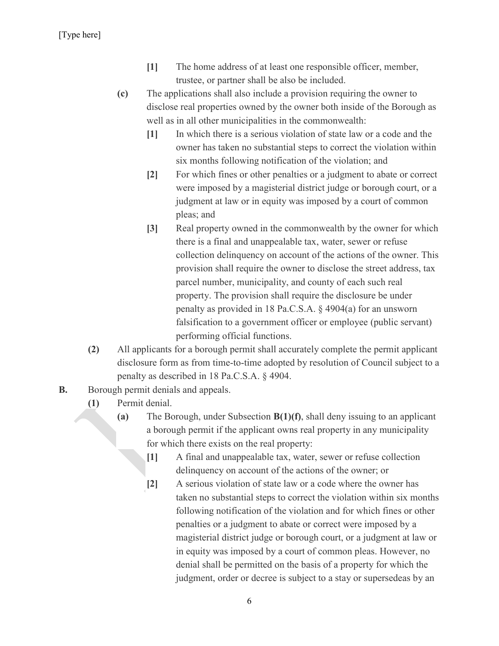[Type here]

- [1] The home address of at least one responsible officer, member, trustee, or partner shall be also be included.
- (c) The applications shall also include a provision requiring the owner to disclose real properties owned by the owner both inside of the Borough as well as in all other municipalities in the commonwealth:
	- [1] In which there is a serious violation of state law or a code and the owner has taken no substantial steps to correct the violation within six months following notification of the violation; and
	- [2] For which fines or other penalties or a judgment to abate or correct were imposed by a magisterial district judge or borough court, or a judgment at law or in equity was imposed by a court of common pleas; and
	- [3] Real property owned in the commonwealth by the owner for which there is a final and unappealable tax, water, sewer or refuse collection delinquency on account of the actions of the owner. This provision shall require the owner to disclose the street address, tax parcel number, municipality, and county of each such real property. The provision shall require the disclosure be under penalty as provided in 18 Pa.C.S.A. § 4904(a) for an unsworn falsification to a government officer or employee (public servant) performing official functions.
- (2) All applicants for a borough permit shall accurately complete the permit applicant disclosure form as from time-to-time adopted by resolution of Council subject to a penalty as described in 18 Pa.C.S.A. § 4904.
- **B.** Borough permit denials and appeals.
	- (1) Permit denial.
		- (a) The Borough, under Subsection B(1)(f), shall deny issuing to an applicant a borough permit if the applicant owns real property in any municipality for which there exists on the real property:
			- [1] A final and unappealable tax, water, sewer or refuse collection delinquency on account of the actions of the owner; or
			- [2] A serious violation of state law or a code where the owner has taken no substantial steps to correct the violation within six months following notification of the violation and for which fines or other penalties or a judgment to abate or correct were imposed by a magisterial district judge or borough court, or a judgment at law or in equity was imposed by a court of common pleas. However, no denial shall be permitted on the basis of a property for which the judgment, order or decree is subject to a stay or supersedeas by an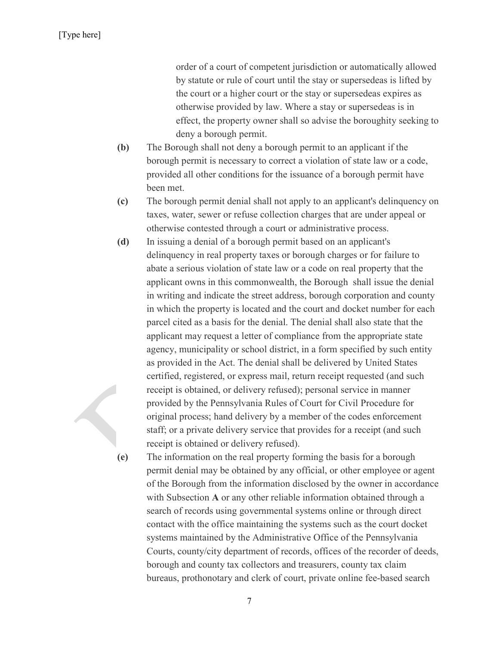order of a court of competent jurisdiction or automatically allowed by statute or rule of court until the stay or supersedeas is lifted by the court or a higher court or the stay or supersedeas expires as otherwise provided by law. Where a stay or supersedeas is in effect, the property owner shall so advise the boroughity seeking to deny a borough permit.

- (b) The Borough shall not deny a borough permit to an applicant if the borough permit is necessary to correct a violation of state law or a code, provided all other conditions for the issuance of a borough permit have been met.
- (c) The borough permit denial shall not apply to an applicant's delinquency on taxes, water, sewer or refuse collection charges that are under appeal or otherwise contested through a court or administrative process.
- (d) In issuing a denial of a borough permit based on an applicant's delinquency in real property taxes or borough charges or for failure to abate a serious violation of state law or a code on real property that the applicant owns in this commonwealth, the Borough shall issue the denial in writing and indicate the street address, borough corporation and county in which the property is located and the court and docket number for each parcel cited as a basis for the denial. The denial shall also state that the applicant may request a letter of compliance from the appropriate state agency, municipality or school district, in a form specified by such entity as provided in the Act. The denial shall be delivered by United States certified, registered, or express mail, return receipt requested (and such receipt is obtained, or delivery refused); personal service in manner provided by the Pennsylvania Rules of Court for Civil Procedure for original process; hand delivery by a member of the codes enforcement staff; or a private delivery service that provides for a receipt (and such receipt is obtained or delivery refused).

(e) The information on the real property forming the basis for a borough permit denial may be obtained by any official, or other employee or agent of the Borough from the information disclosed by the owner in accordance with Subsection A or any other reliable information obtained through a search of records using governmental systems online or through direct contact with the office maintaining the systems such as the court docket systems maintained by the Administrative Office of the Pennsylvania Courts, county/city department of records, offices of the recorder of deeds, borough and county tax collectors and treasurers, county tax claim bureaus, prothonotary and clerk of court, private online fee-based search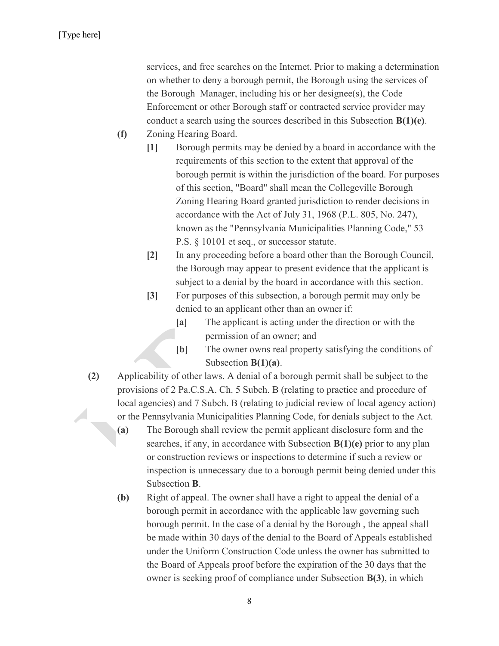services, and free searches on the Internet. Prior to making a determination on whether to deny a borough permit, the Borough using the services of the Borough Manager, including his or her designee(s), the Code Enforcement or other Borough staff or contracted service provider may conduct a search using the sources described in this Subsection B(1)(e).

- (f) Zoning Hearing Board.
	- [1] Borough permits may be denied by a board in accordance with the requirements of this section to the extent that approval of the borough permit is within the jurisdiction of the board. For purposes of this section, "Board" shall mean the Collegeville Borough Zoning Hearing Board granted jurisdiction to render decisions in accordance with the Act of July 31, 1968 (P.L. 805, No. 247), known as the "Pennsylvania Municipalities Planning Code," 53 P.S. § 10101 et seq., or successor statute.
	- [2] In any proceeding before a board other than the Borough Council, the Borough may appear to present evidence that the applicant is subject to a denial by the board in accordance with this section.
	- [3] For purposes of this subsection, a borough permit may only be denied to an applicant other than an owner if:
		- [a] The applicant is acting under the direction or with the permission of an owner; and
		- [b] The owner owns real property satisfying the conditions of Subsection  $B(1)(a)$ .
- (2) Applicability of other laws. A denial of a borough permit shall be subject to the provisions of 2 Pa.C.S.A. Ch. 5 Subch. B (relating to practice and procedure of local agencies) and 7 Subch. B (relating to judicial review of local agency action)  $\sqrt{2}$ or the Pennsylvania Municipalities Planning Code, for denials subject to the Act.
	- (a) The Borough shall review the permit applicant disclosure form and the searches, if any, in accordance with Subsection  $B(1)(e)$  prior to any plan or construction reviews or inspections to determine if such a review or inspection is unnecessary due to a borough permit being denied under this Subsection B.
	- (b) Right of appeal. The owner shall have a right to appeal the denial of a borough permit in accordance with the applicable law governing such borough permit. In the case of a denial by the Borough , the appeal shall be made within 30 days of the denial to the Board of Appeals established under the Uniform Construction Code unless the owner has submitted to the Board of Appeals proof before the expiration of the 30 days that the owner is seeking proof of compliance under Subsection B(3), in which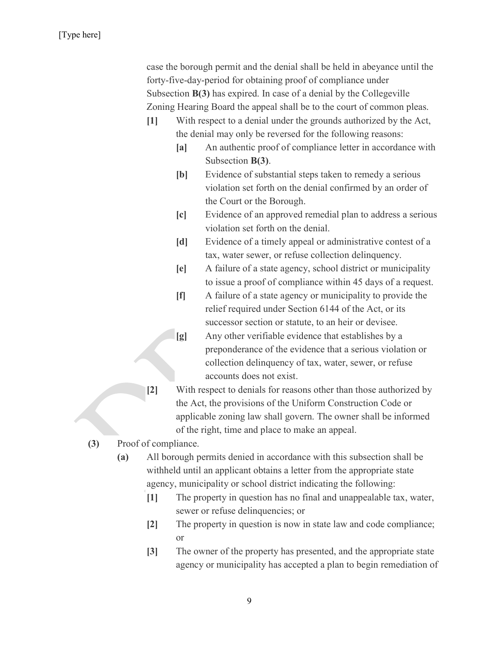case the borough permit and the denial shall be held in abeyance until the forty-five-day-period for obtaining proof of compliance under Subsection B(3) has expired. In case of a denial by the Collegeville Zoning Hearing Board the appeal shall be to the court of common pleas.

- [1] With respect to a denial under the grounds authorized by the Act, the denial may only be reversed for the following reasons:
	- [a] An authentic proof of compliance letter in accordance with Subsection B(3).
	- [b] Evidence of substantial steps taken to remedy a serious violation set forth on the denial confirmed by an order of the Court or the Borough.
	- [c] Evidence of an approved remedial plan to address a serious violation set forth on the denial.
	- [d] Evidence of a timely appeal or administrative contest of a tax, water sewer, or refuse collection delinquency.
	- [e] A failure of a state agency, school district or municipality to issue a proof of compliance within 45 days of a request.
	- [f] A failure of a state agency or municipality to provide the relief required under Section 6144 of the Act, or its successor section or statute, to an heir or devisee.
	- [g] Any other verifiable evidence that establishes by a preponderance of the evidence that a serious violation or collection delinquency of tax, water, sewer, or refuse accounts does not exist.
- [2] With respect to denials for reasons other than those authorized by the Act, the provisions of the Uniform Construction Code or applicable zoning law shall govern. The owner shall be informed of the right, time and place to make an appeal.
- (3) Proof of compliance.
	- (a) All borough permits denied in accordance with this subsection shall be withheld until an applicant obtains a letter from the appropriate state agency, municipality or school district indicating the following:
		- [1] The property in question has no final and unappealable tax, water, sewer or refuse delinquencies; or
		- [2] The property in question is now in state law and code compliance; or
		- [3] The owner of the property has presented, and the appropriate state agency or municipality has accepted a plan to begin remediation of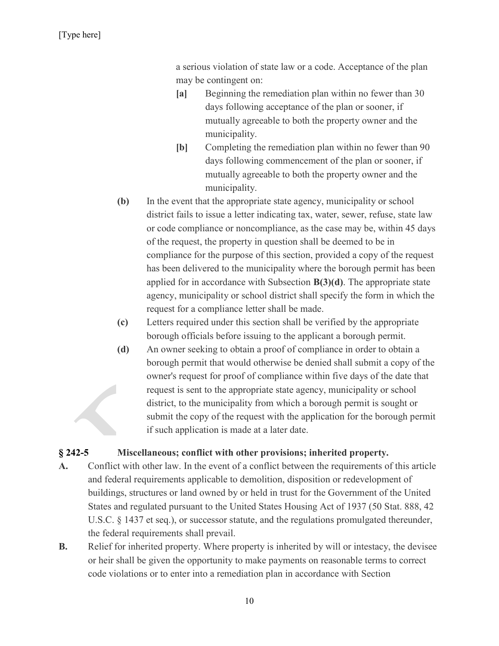a serious violation of state law or a code. Acceptance of the plan may be contingent on:

- [a] Beginning the remediation plan within no fewer than 30 days following acceptance of the plan or sooner, if mutually agreeable to both the property owner and the municipality.
- [b] Completing the remediation plan within no fewer than 90 days following commencement of the plan or sooner, if mutually agreeable to both the property owner and the municipality.
- (b) In the event that the appropriate state agency, municipality or school district fails to issue a letter indicating tax, water, sewer, refuse, state law or code compliance or noncompliance, as the case may be, within 45 days of the request, the property in question shall be deemed to be in compliance for the purpose of this section, provided a copy of the request has been delivered to the municipality where the borough permit has been applied for in accordance with Subsection  $B(3)(d)$ . The appropriate state agency, municipality or school district shall specify the form in which the request for a compliance letter shall be made.
- (c) Letters required under this section shall be verified by the appropriate borough officials before issuing to the applicant a borough permit.
- (d) An owner seeking to obtain a proof of compliance in order to obtain a borough permit that would otherwise be denied shall submit a copy of the owner's request for proof of compliance within five days of the date that request is sent to the appropriate state agency, municipality or school district, to the municipality from which a borough permit is sought or submit the copy of the request with the application for the borough permit if such application is made at a later date.

#### § 242-5 Miscellaneous; conflict with other provisions; inherited property.

- A. Conflict with other law. In the event of a conflict between the requirements of this article and federal requirements applicable to demolition, disposition or redevelopment of buildings, structures or land owned by or held in trust for the Government of the United States and regulated pursuant to the United States Housing Act of 1937 (50 Stat. 888, 42 U.S.C. § 1437 et seq.), or successor statute, and the regulations promulgated thereunder, the federal requirements shall prevail.
- B. Relief for inherited property. Where property is inherited by will or intestacy, the devisee or heir shall be given the opportunity to make payments on reasonable terms to correct code violations or to enter into a remediation plan in accordance with Section